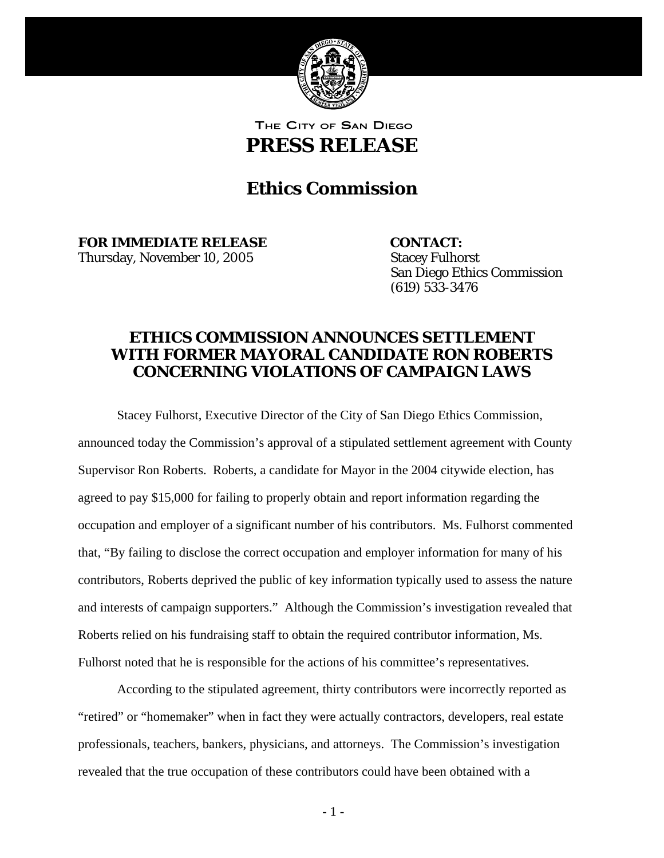

THE CITY OF SAN DIEGO

**PRESS RELEASE** 

## **Ethics Commission**

**FOR IMMEDIATE RELEASE CONTACT:**  Thursday, November 10, 2005 Stacey Fulhorst

 (619) 533-3476 San Diego Ethics Commission

## **ETHICS COMMISSION ANNOUNCES SETTLEMENT WITH FORMER MAYORAL CANDIDATE RON ROBERTS CONCERNING VIOLATIONS OF CAMPAIGN LAWS**

Stacey Fulhorst, Executive Director of the City of San Diego Ethics Commission, announced today the Commission's approval of a stipulated settlement agreement with County Supervisor Ron Roberts. Roberts, a candidate for Mayor in the 2004 citywide election, has agreed to pay \$15,000 for failing to properly obtain and report information regarding the occupation and employer of a significant number of his contributors. Ms. Fulhorst commented that, "By failing to disclose the correct occupation and employer information for many of his contributors, Roberts deprived the public of key information typically used to assess the nature and interests of campaign supporters." Although the Commission's investigation revealed that Roberts relied on his fundraising staff to obtain the required contributor information, Ms. Fulhorst noted that he is responsible for the actions of his committee's representatives.

According to the stipulated agreement, thirty contributors were incorrectly reported as "retired" or "homemaker" when in fact they were actually contractors, developers, real estate professionals, teachers, bankers, physicians, and attorneys. The Commission's investigation revealed that the true occupation of these contributors could have been obtained with a